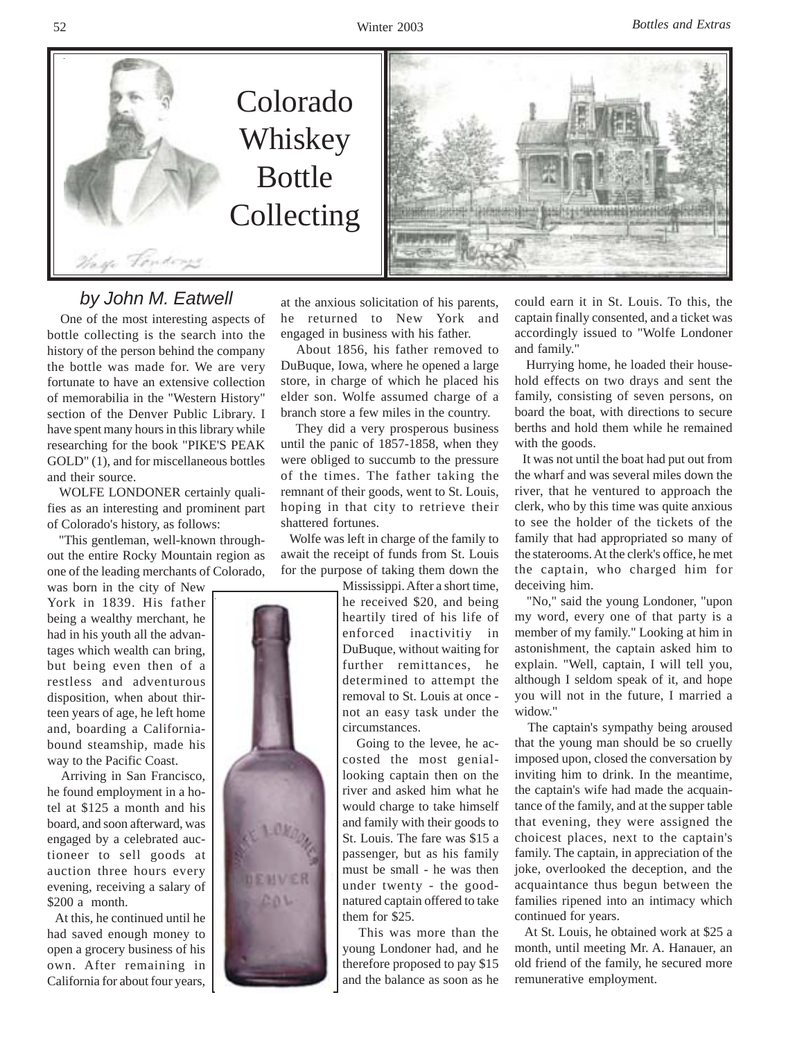



## *by John M. Eatwell*

 One of the most interesting aspects of bottle collecting is the search into the history of the person behind the company the bottle was made for. We are very fortunate to have an extensive collection of memorabilia in the "Western History" section of the Denver Public Library. I have spent many hours in this library while researching for the book "PIKE'S PEAK GOLD" (1), and for miscellaneous bottles and their source.

 WOLFE LONDONER certainly qualifies as an interesting and prominent part of Colorado's history, as follows:

 "This gentleman, well-known throughout the entire Rocky Mountain region as one of the leading merchants of Colorado,

was born in the city of New York in 1839. His father being a wealthy merchant, he had in his youth all the advantages which wealth can bring, but being even then of a restless and adventurous disposition, when about thirteen years of age, he left home and, boarding a Californiabound steamship, made his way to the Pacific Coast.

 Arriving in San Francisco, he found employment in a hotel at \$125 a month and his board, and soon afterward, was engaged by a celebrated auctioneer to sell goods at auction three hours every evening, receiving a salary of \$200 a month.

 At this, he continued until he had saved enough money to open a grocery business of his own. After remaining in California for about four years,

at the anxious solicitation of his parents, he returned to New York and engaged in business with his father.

 About 1856, his father removed to DuBuque, Iowa, where he opened a large store, in charge of which he placed his elder son. Wolfe assumed charge of a branch store a few miles in the country.

 They did a very prosperous business until the panic of 1857-1858, when they were obliged to succumb to the pressure of the times. The father taking the remnant of their goods, went to St. Louis, hoping in that city to retrieve their shattered fortunes.

 Wolfe was left in charge of the family to await the receipt of funds from St. Louis for the purpose of taking them down the

> Mississippi. After a short time, he received \$20, and being heartily tired of his life of enforced inactivitiy in DuBuque, without waiting for further remittances, he determined to attempt the removal to St. Louis at once not an easy task under the circumstances.

> Going to the levee, he accosted the most geniallooking captain then on the river and asked him what he would charge to take himself and family with their goods to St. Louis. The fare was \$15 a passenger, but as his family must be small - he was then under twenty - the goodnatured captain offered to take them for \$25.

> This was more than the young Londoner had, and he therefore proposed to pay \$15 and the balance as soon as he

could earn it in St. Louis. To this, the captain finally consented, and a ticket was accordingly issued to "Wolfe Londoner and family."

 Hurrying home, he loaded their household effects on two drays and sent the family, consisting of seven persons, on board the boat, with directions to secure berths and hold them while he remained with the goods.

 It was not until the boat had put out from the wharf and was several miles down the river, that he ventured to approach the clerk, who by this time was quite anxious to see the holder of the tickets of the family that had appropriated so many of the staterooms. At the clerk's office, he met the captain, who charged him for deceiving him.

 "No," said the young Londoner, "upon my word, every one of that party is a member of my family." Looking at him in astonishment, the captain asked him to explain. "Well, captain, I will tell you, although I seldom speak of it, and hope you will not in the future, I married a widow."

 The captain's sympathy being aroused that the young man should be so cruelly imposed upon, closed the conversation by inviting him to drink. In the meantime, the captain's wife had made the acquaintance of the family, and at the supper table that evening, they were assigned the choicest places, next to the captain's family. The captain, in appreciation of the joke, overlooked the deception, and the acquaintance thus begun between the families ripened into an intimacy which continued for years.

 At St. Louis, he obtained work at \$25 a month, until meeting Mr. A. Hanauer, an old friend of the family, he secured more remunerative employment.